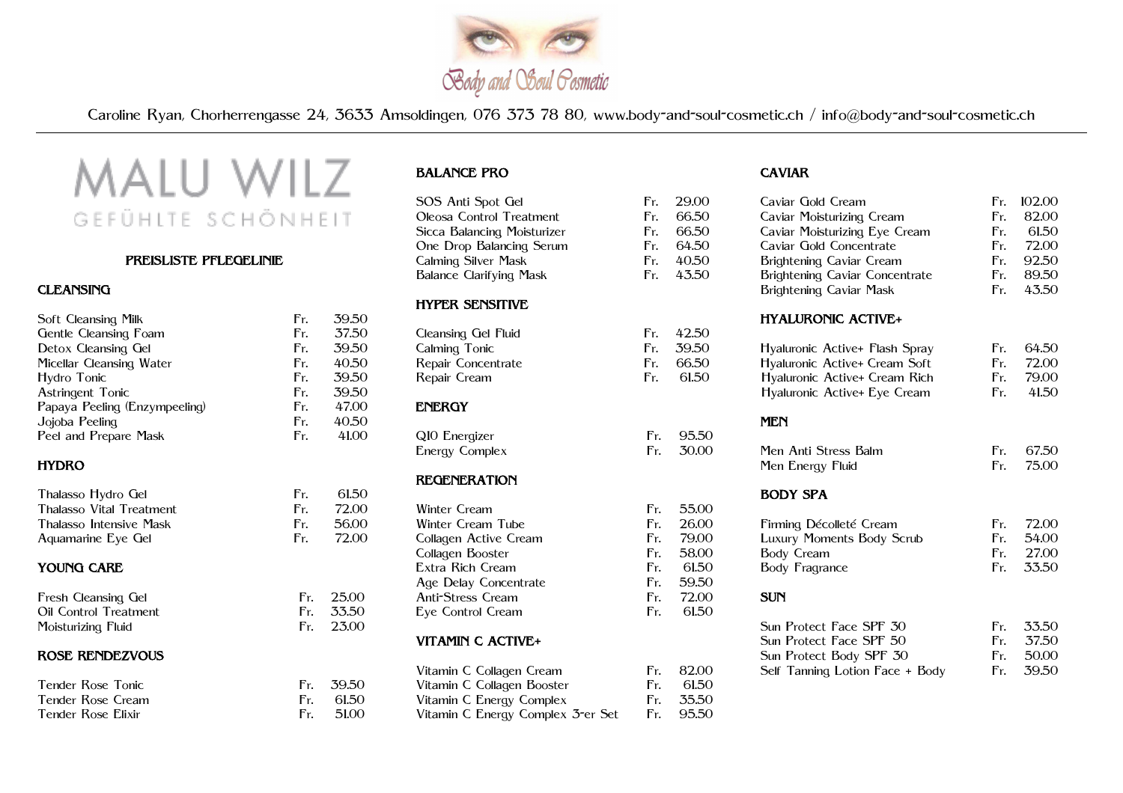

Caroline Ryan, Chorherrengasse 24, 3633 Amsoldingen, 076 373 78 80, www.body-and-soul-cosmetic.ch / info@body-and-soul-cosmetic.ch

# MALU WILZ GEFÜHLTE SCHÖNHEIT

#### PREISLISTE PFLEGELINIE

#### **CLEANSING**

| Soft Cleansing Milk           | Fr. | 39.50 |
|-------------------------------|-----|-------|
| Gentle Cleansing Foam         | Fr. | 37.50 |
| Detox Cleansing Gel           | Fr. | 39.50 |
| Micellar Cleansing Water      | Fr. | 40.50 |
| Hydro Tonic                   | Fr. | 39.50 |
| Astringent Tonic              | Fr. | 39.50 |
| Papaya Peeling (Enzympeeling) | Fr. | 47.00 |
| Jojoba Peeling                | Fr. | 40.50 |
| Peel and Prepare Mask         | Fr. | 41.00 |
| <b>HYDRO</b>                  |     |       |
| Thalasso Hydro Gel            | Fr. | 61.50 |
| Thalasso Vital Treatment      | Fr. | 72.00 |
| Thalasso Intensive Mask       | Fr. | 56.00 |
| Aquamarine Eye Gel            | Fr. | 72.00 |
| <b>YOUNG CARE</b>             |     |       |
| Fresh Cleansing Gel           | Fr. | 25.00 |

Fr. 33.50 Fr. 23.00

| i resn Cleansing Clei |  |
|-----------------------|--|
| Oil Control Treatment |  |
| Moisturizing Fluid    |  |
|                       |  |

# ROSE RENDEZVOUS

| Tender Rose Tonic  | Fr. 39.50 |
|--------------------|-----------|
| Tender Rose Cream  | Fr. 61.50 |
| Tender Rose Elixir | Fr. 51.00 |

# BALANCE PRO

| SOS Anti Spot Gel                 | Fr. | 29.00 |
|-----------------------------------|-----|-------|
| Oleosa Control Treatment          | Fr. | 66.50 |
| Sicca Balancing Moisturizer       | Fr. | 66.50 |
| One Drop Balancing Serum          | Fr. | 64.50 |
| Calming Silver Mask               | Fr. | 40.50 |
| <b>Balance Clarifying Mask</b>    | Fr. | 43.50 |
| <b>HYPER SENSITIVE</b>            |     |       |
| Cleansing Gel Fluid               | Fr. | 42.50 |
| Calming Tonic                     | Fr. | 39.50 |
| Repair Concentrate                | Fr. | 66.50 |
| Repair Cream                      | Fr. | 61.50 |
| <b>ENERGY</b>                     |     |       |
| Q10 Energizer                     | Fr. | 95.50 |
| Energy Complex                    | Fr. | 30.00 |
| <b>REGENERATION</b>               |     |       |
| <b>Winter Cream</b>               | Fr. | 55.00 |
| Winter Cream Tube                 | Fr. | 26.00 |
| Collagen Active Cream             | Fr. | 79.00 |
| Collagen Booster                  | Fr. | 58.00 |
| Extra Rich Cream                  | Fr. | 61.50 |
| Age Delay Concentrate             | Fr. | 59.50 |
| <b>Anti-Stress Cream</b>          | Fr. | 72.00 |
| Eye Control Cream                 | Fr. | 61.50 |
| VITAMIN C ACTIVE+                 |     |       |
| Vitamin C Collagen Cream          | Fr. | 82.00 |
| Vitamin C Collagen Booster        | Fr. | 61.50 |
| Vitamin C Energy Complex          | Fr. | 35.50 |
| Vitamin C Energy Complex 3-er Set | Fr. | 95.50 |

# CAVIAR

| Caviar Gold Cream               | Fr. | 102.00 |
|---------------------------------|-----|--------|
| Caviar Moisturizing Cream       | Fr. | 82.00  |
| Caviar Moisturizing Eye Cream   | Fr. | 61.50  |
| Caviar Gold Concentrate         | Fr. | 72.00  |
| Brightening Caviar Cream        | Fr. | 92.50  |
| Brightening Caviar Concentrate  | Fr. | 89.50  |
| <b>Brightening Caviar Mask</b>  | Fr. | 43.50  |
| <b>HYALURONIC ACTIVE+</b>       |     |        |
| Hyaluronic Active+ Flash Spray  | Fr. | 64.50  |
| Hyaluronic Active+ Cream Soft   | Fr. | 72.00  |
| Hyaluronic Active+ Cream Rich   | Fr. | 79.00  |
| Hyaluronic Active+ Eye Cream    | Fr. | 41.50  |
| <b>MEN</b>                      |     |        |
| Men Anti Stress Balm            | Fr. | 67.50  |
| Men Energy Fluid                | Fr. | 75.00  |
| <b>BODY SPA</b>                 |     |        |
| Firming Décolleté Cream         | Fr. | 72.00  |
| Luxury Moments Body Scrub       | Fr. | 54.00  |
| <b>Body Cream</b>               | Fr. | 27.00  |
| <b>Body Fragrance</b>           | Fr. | 33.50  |
| <b>SUN</b>                      |     |        |
| Sun Protect Face SPF 30         | Fr. | 33.50  |
| Sun Protect Face SPF 50         | Fr. | 37.50  |
| Sun Protect Body SPF 30         | Fr. | 50.00  |
| Self Tanning Lotion Face + Body | Fr. | 39.50  |